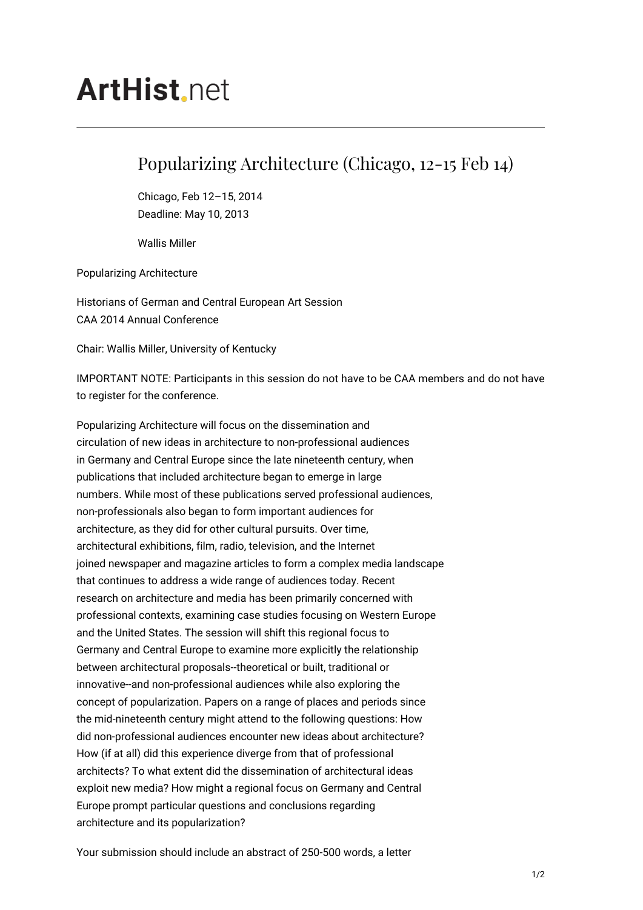## **ArtHist** net

## Popularizing Architecture (Chicago, 12-15 Feb 14)

Chicago, Feb 12–15, 2014 Deadline: May 10, 2013

Wallis Miller

Popularizing Architecture

Historians of German and Central European Art Session CAA 2014 Annual Conference

Chair: Wallis Miller, University of Kentucky

IMPORTANT NOTE: Participants in this session do not have to be CAA members and do not have to register for the conference.

Popularizing Architecture will focus on the dissemination and circulation of new ideas in architecture to non-professional audiences in Germany and Central Europe since the late nineteenth century, when publications that included architecture began to emerge in large numbers. While most of these publications served professional audiences, non-professionals also began to form important audiences for architecture, as they did for other cultural pursuits. Over time, architectural exhibitions, film, radio, television, and the Internet joined newspaper and magazine articles to form a complex media landscape that continues to address a wide range of audiences today. Recent research on architecture and media has been primarily concerned with professional contexts, examining case studies focusing on Western Europe and the United States. The session will shift this regional focus to Germany and Central Europe to examine more explicitly the relationship between architectural proposals--theoretical or built, traditional or innovative--and non-professional audiences while also exploring the concept of popularization. Papers on a range of places and periods since the mid-nineteenth century might attend to the following questions: How did non-professional audiences encounter new ideas about architecture? How (if at all) did this experience diverge from that of professional architects? To what extent did the dissemination of architectural ideas exploit new media? How might a regional focus on Germany and Central Europe prompt particular questions and conclusions regarding architecture and its popularization?

Your submission should include an abstract of 250-500 words, a letter